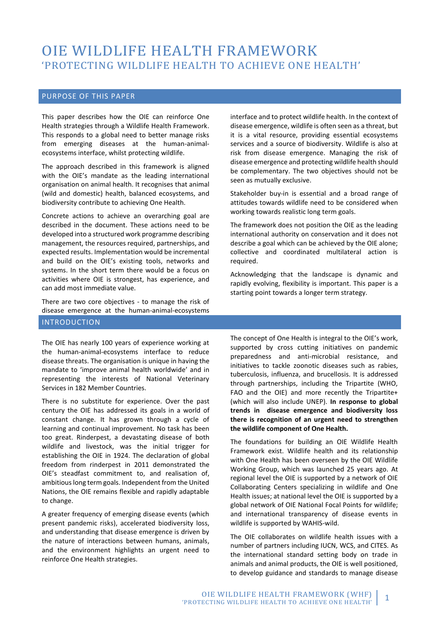## OIE WILDLIFE HEALTH FRAMEWORK 'PROTECTING WILDLIFE HEALTH TO ACHIEVE ONE HEALTH'

#### PURPOSE OF THIS PAPER

This paper describes how the OIE can reinforce One Health strategies through a Wildlife Health Framework. This responds to a global need to better manage risks from emerging diseases at the human-animalecosystems interface, whilst protecting wildlife.

The approach described in this framework is aligned with the OIE's mandate as the leading international organisation on animal health. It recognises that animal (wild and domestic) health, balanced ecosystems, and biodiversity contribute to achieving One Health.

Concrete actions to achieve an overarching goal are described in the document. These actions need to be developed into a structured work programme describing management, the resources required, partnerships, and expected results. Implementation would be incremental and build on the OIE's existing tools, networks and systems. In the short term there would be a focus on activities where OIE is strongest, has experience, and can add most immediate value.

There are two core objectives - to manage the risk of disease emergence at the human-animal-ecosystems

INTRODUCTION

The OIE has nearly 100 years of experience working at the human-animal-ecosystems interface to reduce disease threats. The organisation is unique in having the mandate to 'improve animal health worldwide' and in representing the interests of National Veterinary Services in 182 Member Countries.

There is no substitute for experience. Over the past century the OIE has addressed its goals in a world of constant change. It has grown through a cycle of learning and continual improvement. No task has been too great. Rinderpest, a devastating disease of both wildlife and livestock, was the initial trigger for establishing the OIE in 1924. The declaration of global freedom from rinderpest in 2011 demonstrated the OIE's steadfast commitment to, and realisation of, ambitious long term goals. Independent from the United Nations, the OIE remains flexible and rapidly adaptable to change.

A greater frequency of emerging disease events (which present pandemic risks), accelerated biodiversity loss, and understanding that disease emergence is driven by the nature of interactions between humans, animals, and the environment highlights an urgent need to reinforce One Health strategies.

interface and to protect wildlife health. In the context of disease emergence, wildlife is often seen as a threat, but it is a vital resource, providing essential ecosystems services and a source of biodiversity. Wildlife is also at risk from disease emergence. Managing the risk of disease emergence and protecting wildlife health should be complementary. The two objectives should not be seen as mutually exclusive.

Stakeholder buy-in is essential and a broad range of attitudes towards wildlife need to be considered when working towards realistic long term goals.

The framework does not position the OIE as the leading international authority on conservation and it does not describe a goal which can be achieved by the OIE alone; collective and coordinated multilateral action is required.

Acknowledging that the landscape is dynamic and rapidly evolving, flexibility is important. This paper is a starting point towards a longer term strategy.

The concept of One Health is integral to the OIE's work, supported by cross cutting initiatives on pandemic preparedness and anti-microbial resistance, and initiatives to tackle zoonotic diseases such as rabies, tuberculosis, influenza, and brucellosis. It is addressed through partnerships, including the Tripartite (WHO, FAO and the OIE) and more recently the Tripartite+ (which will also include UNEP). **In response to global trends in disease emergence and biodiversity loss there is recognition of an urgent need to strengthen the wildlife component of One Health.**

The foundations for building an OIE Wildlife Health Framework exist. Wildlife health and its relationship with One Health has been overseen by the OIE Wildlife Working Group, which was launched 25 years ago. At regional level the OIE is supported by a network of OIE Collaborating Centers specializing in wildlife and One Health issues; at national level the OIE is supported by a global network of OIE National Focal Points for wildlife; and international transparency of disease events in wildlife is supported by WAHIS-wild.

The OIE collaborates on wildlife health issues with a number of partners including IUCN, WCS, and CITES. As the international standard setting body on trade in animals and animal products, the OIE is well positioned, to develop guidance and standards to manage disease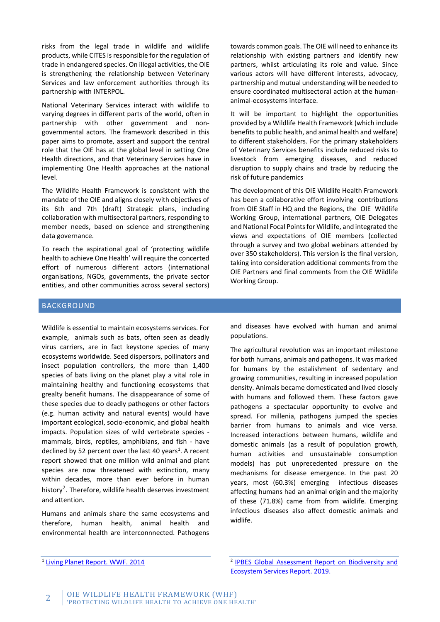risks from the legal trade in wildlife and wildlife products, while CITES is responsible for the regulation of trade in endangered species. On illegal activities, the OIE is strengthening the relationship between Veterinary Services and law enforcement authorities through its partnership with INTERPOL.

National Veterinary Services interact with wildlife to varying degrees in different parts of the world, often in partnership with other government and nongovernmental actors. The framework described in this paper aims to promote, assert and support the central role that the OIE has at the global level in setting One Health directions, and that Veterinary Services have in implementing One Health approaches at the national level.

The Wildlife Health Framework is consistent with the mandate of the OIE and aligns closely with objectives of its 6th and 7th (draft) Strategic plans, including collaboration with multisectoral partners, responding to member needs, based on science and strengthening data governance.

To reach the aspirational goal of 'protecting wildlife health to achieve One Health' will require the concerted effort of numerous different actors (international organisations, NGOs, governments, the private sector entities, and other communities across several sectors) towards common goals. The OIE will need to enhance its relationship with existing partners and identify new partners, whilst articulating its role and value. Since various actors will have different interests, advocacy, partnership and mutual understanding will be needed to ensure coordinated multisectoral action at the humananimal-ecosystems interface.

It will be important to highlight the opportunities provided by a Wildlife Health Framework (which include benefits to public health, and animal health and welfare) to different stakeholders. For the primary stakeholders of Veterinary Services benefits include reduced risks to livestock from emerging diseases, and reduced disruption to supply chains and trade by reducing the risk of future pandemics

The development of this OIE Wildlife Health Framework has been a collaborative effort involving contributions from OIE Staff in HQ and the Regions, the OIE Wildlife Working Group, international partners, OIE Delegates and National Focal Points for Wildlife, and integrated the views and expectations of OIE members (collected through a survey and two global webinars attended by over 350 stakeholders). This version is the final version, taking into consideration additional comments from the OIE Partners and final comments from the OIE Wildlife Working Group.

#### BACKGROUND

Wildlife is essential to maintain ecosystems services. For example, animals such as bats, often seen as deadly virus carriers, are in fact keystone species of many ecosystems worldwide. Seed dispersors, pollinators and insect population controllers, the more than 1,400 species of bats living on the planet play a vital role in maintaining healthy and functioning ecosystems that grealty benefit humans. The disappearance of some of these species due to deadly pathogens or other factors (e.g. human activity and natural events) would have important ecological, socio-economic, and global health impacts. Population sizes of wild vertebrate species mammals, birds, reptiles, amphibians, and fish - have declined by 52 percent over the last 40 years<sup>1</sup>. A recent report showed that one million wild animal and plant species are now threatened with extinction, many within decades, more than ever before in human history<sup>2</sup>. Therefore, wildlife health deserves investment and attention.

Humans and animals share the same ecosystems and therefore, human health, animal health and environmental health are interconnnected. Pathogens

and diseases have evolved with human and animal populations.

The agricultural revolution was an important milestone for both humans, animals and pathogens. It was marked for humans by the estalishment of sedentary and growing communities, resulting in increased population density. Animals became domesticated and lived closely with humans and followed them. These factors gave pathogens a spectacular opportunity to evolve and spread. For millenia, pathogens jumped the species barrier from humans to animals and vice versa. Increased interactions between humans, wildlife and domestic animals (as a result of population growth, human activities and unsustainable consumption models) has put unprecedented pressure on the mechanisms for disease emergence. In the past 20 years, most (60.3%) emerging infectious diseases affecting humans had an animal origin and the majority of these (71.8%) came from from wildlife. Emerging infectious diseases also affect domestic animals and widlife.

<sup>&</sup>lt;sup>1</sup> [Living Planet Report. WWF. 2014](http://assets.worldwildlife.org/publications/723/files/original/WWF-LPR2014-low_res.pdf?1413912230&_ga=2.151709565.578711257.1605283659-825177715.1605283659)

<sup>&</sup>lt;sup>2</sup> IPBES Global Assessment Report on Biodiversity and [Ecosystem Services Report. 2019.](http://www.ipsnews.net/2020/02/planet-burns-one-million-species-worlds-eco-system-danger-extinction/)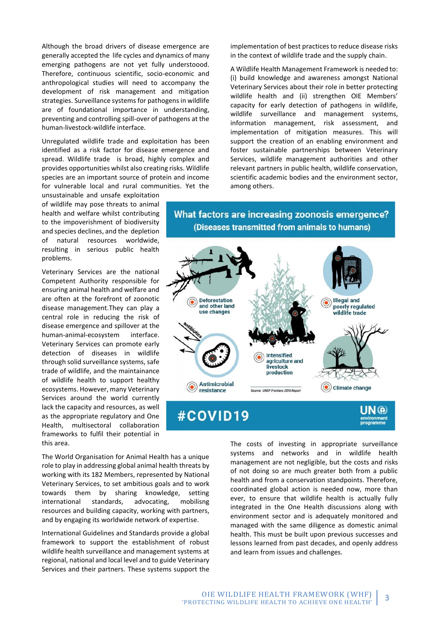Although the broad drivers of disease emergence are generally accepted the life cycles and dynamics of many emerging pathogens are not yet fully understoood. Therefore, continuous scientific, socio-economic and anthropological studies will need to accompany the development of risk management and mitigation strategies. Surveillance systems for pathogens in wildlife are of foundational importance in understanding, preventing and controlling spill-over of pathogens at the human-livestock-wildlife interface.

Unregulated wildlife trade and exploitation has been identified as a risk factor for disease emergence and spread. Wildlife trade is broad, highly complex and provides opportunities whilst also creating risks. Wildlife species are an important source of protein and income for vulnerable local and rural communities. Yet the

unsustainable and unsafe exploitation of wildlife may pose threats to animal health and welfare whilst contributing to the impoverishment of biodiversity and species declines, and the depletion of natural resources worldwide, resulting in serious public health problems.

Veterinary Services are the national Competent Authority responsible for ensuring animal health and welfare and are often at the forefront of zoonotic disease management.They can play a central role in reducing the risk of disease emergence and spillover at the human-animal-ecosystem interface. Veterinary Services can promote early detection of diseases in wildlife through solid surveillance systems, safe trade of wildlife, and the maintainance of wildlife health to support healthy ecosystems. However, many Veterinary Services around the world currently lack the capacity and resources, as well as the appropriate regulatory and One Health, multisectoral collaboration frameworks to fulfil their potential in this area.

The World Organisation for Animal Health has a unique role to play in addressing global animal health threats by working with its 182 Members, represented by National Veterinary Services, to set ambitious goals and to work towards them by sharing knowledge, setting international standards, advocating, mobilisng resources and building capacity, working with partners, and by engaging its worldwide network of expertise.

International Guidelines and Standards provide a global framework to support the establishment of robust wildlife health surveillance and management systems at regional, national and local level and to guide Veterinary Services and their partners. These systems support the implementation of best practices to reduce disease risks in the context of wildlife trade and the supply chain.

A Wildlife Health Management Framework is needed to: (i) build knowledge and awareness amongst National Veterinary Services about their role in better protecting wildlife health and (ii) strengthen OIE Members' capacity for early detection of pathogens in wildlife, wildlife surveillance and management systems, information management, risk assessment, and implementation of mitigation measures. This will support the creation of an enabling environment and foster sustainable partnerships between Veterinary Services, wildlife management authorities and other relevant partners in public health, wildlife conservation, scientific academic bodies and the environment sector, among others.

## What factors are increasing zoonosis emergence? (Diseases transmitted from animals to humans)



The costs of investing in appropriate surveillance systems and networks and in wildlife health management are not negligible, but the costs and risks of not doing so are much greater both from a public health and from a conservation standpoints. Therefore, coordinated global action is needed now, more than ever, to ensure that wildlife health is actually fully integrated in the One Health discussions along with environment sector and is adequately monitored and managed with the same diligence as domestic animal health. This must be built upon previous successes and lessons learned from past decades, and openly address and learn from issues and challenges.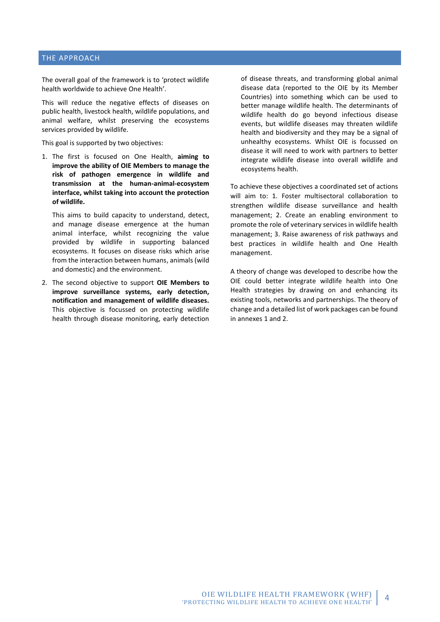#### THE APPROACH

The overall goal of the framework is to 'protect wildlife health worldwide to achieve One Health'.

This will reduce the negative effects of diseases on public health, livestock health, wildlife populations, and animal welfare, whilst preserving the ecosystems services provided by wildlife.

This goal is supported by two objectives:

1. The first is focused on One Health, **aiming to improve the ability of OIE Members to manage the risk of pathogen emergence in wildlife and transmission at the human-animal-ecosystem interface, whilst taking into account the protection of wildlife.** 

This aims to build capacity to understand, detect, and manage disease emergence at the human animal interface, whilst recognizing the value provided by wildlife in supporting balanced ecosystems. It focuses on disease risks which arise from the interaction between humans, animals (wild and domestic) and the environment.

2. The second objective to support **OIE Members to improve surveillance systems, early detection, notification and management of wildlife diseases.** This objective is focussed on protecting wildlife health through disease monitoring, early detection of disease threats, and transforming global animal disease data (reported to the OIE by its Member Countries) into something which can be used to better manage wildlife health. The determinants of wildlife health do go beyond infectious disease events, but wildlife diseases may threaten wildlife health and biodiversity and they may be a signal of unhealthy ecosystems. Whilst OIE is focussed on disease it will need to work with partners to better integrate wildlife disease into overall wildlife and ecosystems health.

To achieve these objectives a coordinated set of actions will aim to: 1. Foster multisectoral collaboration to strengthen wildlife disease surveillance and health management; 2. Create an enabling environment to promote the role of veterinary services in wildlife health management; 3. Raise awareness of risk pathways and best practices in wildlife health and One Health management.

A theory of change was developed to describe how the OIE could better integrate wildlife health into One Health strategies by drawing on and enhancing its existing tools, networks and partnerships. The theory of change and a detailed list of work packages can be found in annexes 1 and 2.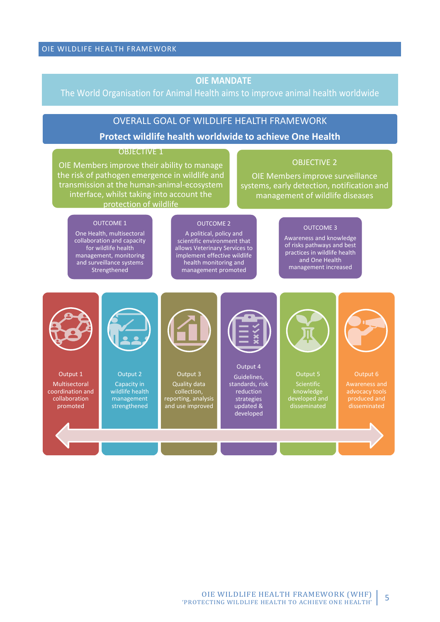## **OIE MANDATE**

## The World Organisation for Animal Health aims to improve animal health worldwide

## OVERALL GOAL OF WILDLIFE HEALTH FRAMEWORK

### **Protect wildlife health worldwide to achieve One Health**

#### OBJECTIVE 1

OIE Members improve their ability to manage the risk of pathogen emergence in wildlife and transmission at the human-animal-ecosystem interface, whilst taking into account the protection of wildlife

#### OBJECTIVE 2

OIE Members improve surveillance systems, early detection, notification and management of wildlife diseases

#### OUTCOME 1

One Health, multisectoral collaboration and capacity for wildlife health management, monitoring and surveillance systems Strengthened

#### OUTCOME 2

A political, policy and scientific environment that allows Veterinary Services to implement effective wildlife health monitoring and management promoted

#### OUTCOME 3

Awareness and knowledge of risks pathways and best practices in wildlife health and One Health management increased



Output 1 Multisectoral coordination and collaboration promoted



Output 2 Capacity in wildlife health management strengthened



Output 3 Quality data collection, reporting, analysis and use improved



Output 4 Guidelines, standards, risk reduction strategies updated & developed



Output 5 Scientific knowledge



disseminated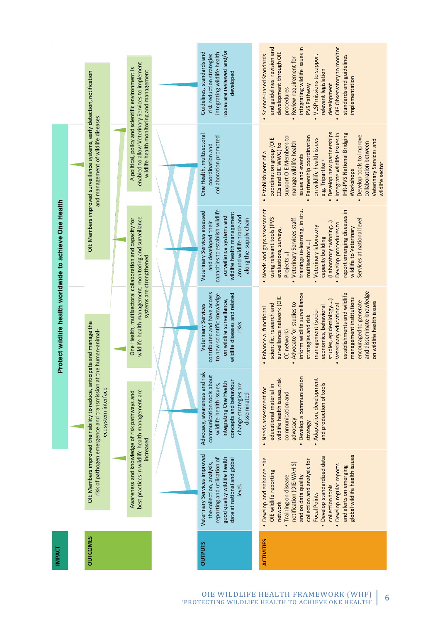|                                                         |  |                                                                                                                                                                    |                                                                                                                                                          | issues are reviewed and/or<br>Guidelines, standards and<br>integrating wildlife health<br>risk reduction strategies<br>developed                                                                                                                                                                                                                                                                                                  | and guidelines revision and<br>integrating wildlife issues in<br>OIE Observatory to monitor<br>development through OIE<br>Science-based Standards<br><b>VLSP</b> missions to support<br>standards and guidelines<br>Review requirement for<br>relevant legislation<br>implementation<br>development<br>PVS Pathway<br>procedures                                                                                                            |
|---------------------------------------------------------|--|--------------------------------------------------------------------------------------------------------------------------------------------------------------------|----------------------------------------------------------------------------------------------------------------------------------------------------------|-----------------------------------------------------------------------------------------------------------------------------------------------------------------------------------------------------------------------------------------------------------------------------------------------------------------------------------------------------------------------------------------------------------------------------------|---------------------------------------------------------------------------------------------------------------------------------------------------------------------------------------------------------------------------------------------------------------------------------------------------------------------------------------------------------------------------------------------------------------------------------------------|
|                                                         |  | OIE Members improved surveillance systems, early detection, notification<br>and management of wildlife diseases                                                    | enabled to allow Veterinary Services to implement<br>A political, policy and scientific environment is<br>wildlife health monitoring and management      | One Health, multisectoral<br>collaboration promoted<br>coordination and                                                                                                                                                                                                                                                                                                                                                           | Develop new partnerships<br>Integrate wildlife issues in<br><b>IHR-PVS National Bridging</b><br>Develop tools to improve<br>Partnership coordination<br>support OIE Members to<br>coordination group (OIE<br>on wildlife health issues<br>Veterinary Services and<br>manage wildlife health<br>collaboration between<br>CCs and OIE WWG) to<br>Establishment of a<br>issues and events<br>e.g. Tripartite +<br>wildlife sector<br>Workshops |
| Protect wildlife health worldwide to achieve One Health |  |                                                                                                                                                                    |                                                                                                                                                          | capacities to establish wildlife<br>Veterinary Services assessed<br>wildlife health management<br>around wildlife trade and<br>surveillance systems and<br>along the supply chain<br>and developed their                                                                                                                                                                                                                          | Needs and gaps assessment<br>trainings (e-learning, in situ,<br>report emerging diseases in<br>using relevant tools (PVS<br>Veterinary Services staff<br>Services at national level<br>(Laboratory twinning)<br>Develop procedures to<br>Veterinary laboratory<br>wildlife to Veterinary<br>evaluations, surveys,<br>capacity building<br>multisectoral)<br>Projects)                                                                       |
|                                                         |  | wildlife health management, monitoring and surveillance<br>One Health, multisectoral collaboration and capacity for<br>systems are strengthened                    | contributed and have access<br>wildlife diseases and related<br>to new scientific knowledge<br>on wildlife surveillance,<br>Veterinary Services<br>risks | and disseminate knowledge<br>establishments and wildlife<br>inform wildlife surveillance<br>surveillance network (OIE<br>management institutions<br>studies, epidemiology)<br>encouraged to generate<br>on wildlife health issues<br>Advocate for studies to<br>scientific, research and<br>Veterinary educational<br>economics, behavioral<br>· Enhance a functional<br>management (socio-<br>strategies and risk<br>CC network) |                                                                                                                                                                                                                                                                                                                                                                                                                                             |
|                                                         |  | OIE Members improved their ability to reduce, anticipate and manage the<br>risk of pathogen emergence and transmission at the human-animal-<br>ecosystem interface |                                                                                                                                                          | Advocacy, awareness and risk<br>communication tools about<br>concepts and behaviour<br>integrating One Health<br>change strategies are<br>wildlife health issues,<br>disseminated                                                                                                                                                                                                                                                 | • Develop a communication<br>wildlife health issues, risk<br>Adaptation, development<br>and production of tools<br>educational material in<br>• Needs assessment for<br>communication and<br>advocacy<br>strategy                                                                                                                                                                                                                           |
|                                                         |  |                                                                                                                                                                    | best practices in wildlife health management are<br>Awareness and knowledge of risk pathways and<br>increased                                            | Veterinary Services improved<br>good quality wildlife health<br>reporting and utilisation of<br>date at national and global<br>the collection, analysis,<br>level.                                                                                                                                                                                                                                                                | global wildlife health issues<br>Develop standardized data<br>Develop and enhance the<br>collection and analysis for<br>notification (OIE-WAHIS)<br>Develop regular reports<br>and alerts on emerging<br>OIE wildlife reporting<br>Training on disease<br>and on data quality<br>collection tools<br>Focal Points<br>network                                                                                                                |
| <b>IMPACT</b>                                           |  | <b>OUTCOMES</b>                                                                                                                                                    |                                                                                                                                                          | <b>OUTPUTS</b>                                                                                                                                                                                                                                                                                                                                                                                                                    | <b>ACTIVITIES</b>                                                                                                                                                                                                                                                                                                                                                                                                                           |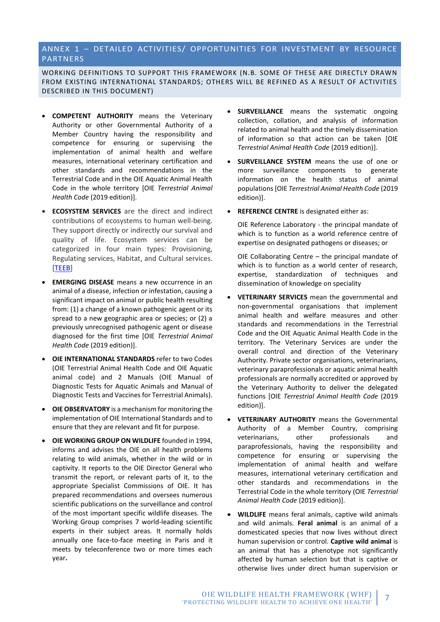#### ANNEX 1 – DETAILED ACTIVITIES/ OPPORTUNITIES FOR INVESTMENT BY RESOURCE PARTNERS

WORKING DEFINITIONS TO SUPPORT THIS FRAMEWORK (N.B. SOME OF THESE ARE DIRECTLY DRAWN FROM EXISTING INTERNATIONAL STANDARDS; OTHERS WILL BE REFINED AS A RESULT OF ACTIVITIES DESCRIBED IN THIS DOCUMENT)

- **COMPETENT AUTHORITY** means the Veterinary Authority or other Governmental Authority of a Member Country having the responsibility and competence for ensuring or supervising the implementation of animal health and welfare measures, international veterinary certification and other standards and recommendations in the Terrestrial Code and in the OIE Aquatic Animal Health Code in the whole territory [OIE *Terrestrial Animal Health Code* (2019 edition)].
- **ECOSYSTEM SERVICES** are the direct and indirect contributions of ecosystems to human well-being. They support directly or indirectly our survival and quality of life. Ecosystem services can be categorized in four main types: Provisioning, Regulating services, Habitat, and Cultural services. [\[TEEB\]](http://www.teebweb.org/)
- **EMERGING DISEASE** means a new occurrence in an animal of a disease, infection or infestation, causing a significant impact on animal or public health resulting from: (1) a change of a known pathogenic agent or its spread to a new geographic area or species; or (2) a previously unrecognised pathogenic agent or disease diagnosed for the first time [OIE *Terrestrial Animal Health Code* (2019 edition)].
- **OIE INTERNATIONAL STANDARDS** refer to two Codes (OIE Terrestrial Animal Health Code and OIE Aquatic animal code) and 2 Manuals (OIE Manual of Diagnostic Tests for Aquatic Animals and Manual of Diagnostic Tests and Vaccines for Terrestrial Animals).
- **OIE OBSERVATORY** is a mechanism for monitoring the implementation of OIE International Standards and to ensure that they are relevant and fit for purpose.
- **OIE WORKING GROUP ON WILDLIFE** founded in 1994, informs and advises the OIE on all health problems relating to wild animals, whether in the wild or in captivity. It reports to the OIE Director General who transmit the report, or relevant parts of it, to the appropriate Specialist Commissions of OIE. It has prepared recommendations and oversees numerous scientific publications on the surveillance and control of the most important specific wildlife diseases. The Working Group comprises 7 world-leading scientific experts in their subject areas. It normally holds annually one face-to-face meeting in Paris and it meets by teleconference two or more times each year**.**
- **SURVEILLANCE** means the systematic ongoing collection, collation, and analysis of information related to animal health and the timely dissemination of information so that action can be taken [OIE *Terrestrial Animal Health Code* (2019 edition)].
- **SURVEILLANCE SYSTEM** means the use of one or more surveillance components to generate information on the health status of animal populations[OIE *Terrestrial Animal Health Code* (2019 edition)].
- **REFERENCE CENTRE** is designated either as:

OIE Reference Laboratory - the principal mandate of which is to function as a world reference centre of expertise on designated pathogens or diseases; or

OIE Collaborating Centre – the principal mandate of which is to function as a world center of research, expertise, standardization of techniques and dissemination of knowledge on speciality

- **VETERINARY SERVICES** mean the governmental and non-governmental organisations that implement animal health and welfare measures and other standards and recommendations in the Terrestrial Code and the OIE Aquatic Animal Health Code in the territory. The Veterinary Services are under the overall control and direction of the Veterinary Authority. Private sector organisations, veterinarians, veterinary paraprofessionals or aquatic animal health professionals are normally accredited or approved by the Veterinary Authority to deliver the delegated functions [OIE *Terrestrial Animal Health Code* (2019 edition)].
- **VETERINARY AUTHORITY** means the Governmental Authority of a Member Country, comprising veterinarians, other professionals and paraprofessionals, having the responsibility and competence for ensuring or supervising the implementation of animal health and welfare measures, international veterinary certification and other standards and recommendations in the Terrestrial Code in the whole territory (OIE *Terrestrial Animal Health Code* (2019 edition)].
- **WILDLIFE** means feral animals, captive wild animals and wild animals. **Feral animal** is an animal of a domesticated species that now lives without direct human supervision or control. **Captive wild animal** is an animal that has a phenotype not significantly affected by human selection but that is captive or otherwise lives under direct human supervision or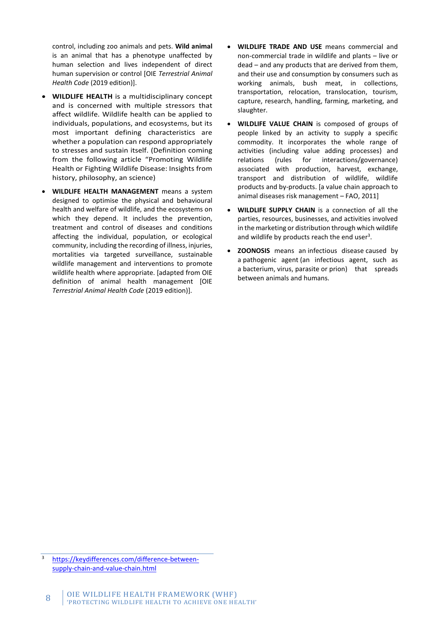control, including zoo animals and pets. **Wild animal** is an animal that has a phenotype unaffected by human selection and lives independent of direct human supervision or control [OIE *Terrestrial Animal Health Code* (2019 edition)].

- **WILDLIFE HEALTH** is a multidisciplinary concept and is concerned with multiple stressors that affect wildlife. Wildlife health can be applied to individuals, populations, and ecosystems, but its most important defining characteristics are whether a population can respond appropriately to stresses and sustain itself. (Definition coming from the following article "Promoting Wildlife Health or Fighting Wildlife Disease: Insights from history, philosophy, an science)
- **WILDLIFE HEALTH MANAGEMENT** means a system designed to optimise the physical and behavioural health and welfare of wildlife, and the ecosystems on which they depend. It includes the prevention, treatment and control of diseases and conditions affecting the individual, population, or ecological community, including the recording of illness, injuries, mortalities via targeted surveillance, sustainable wildlife management and interventions to promote wildlife health where appropriate. [adapted from OIE definition of animal health management [OIE *Terrestrial Animal Health Code* (2019 edition)].
- **WILDLIFE TRADE AND USE** means commercial and non-commercial trade in wildlife and plants – live or dead – and any products that are derived from them, and their use and consumption by consumers such as working animals, bush meat, in collections, transportation, relocation, translocation, tourism, capture, research, handling, farming, marketing, and slaughter.
- **WILDLIFE VALUE CHAIN** is composed of groups of people linked by an activity to supply a specific commodity. It incorporates the whole range of activities (including value adding processes) and relations (rules for interactions/governance) associated with production, harvest, exchange, transport and distribution of wildlife, wildlife products and by-products. [a value chain approach to animal diseases risk management – FAO, 2011]
- **WILDLIFE SUPPLY CHAIN** is a connection of all the parties, resources, businesses, and activities involved in the marketing or distribution through which wildlife and wildlife by products reach the end user $3$ .
- **ZOONOSIS** means an [infectious disease](https://en.wikipedia.org/wiki/Infectious_disease) caused by a [pathogeni](https://en.wikipedia.org/wiki/Pathogen)c agent (an infectious agent, such as a [bacterium,](https://en.wikipedia.org/wiki/Bacterium) [virus,](https://en.wikipedia.org/wiki/Virus) [parasite](https://en.wikipedia.org/wiki/Parasite) or [prion\)](https://en.wikipedia.org/wiki/Prion) that spreads between animals and humans.

[https://keydifferences.com/difference-between](https://keydifferences.com/difference-between-supply-chain-and-value-chain.html)[supply-chain-and-value-chain.html](https://keydifferences.com/difference-between-supply-chain-and-value-chain.html)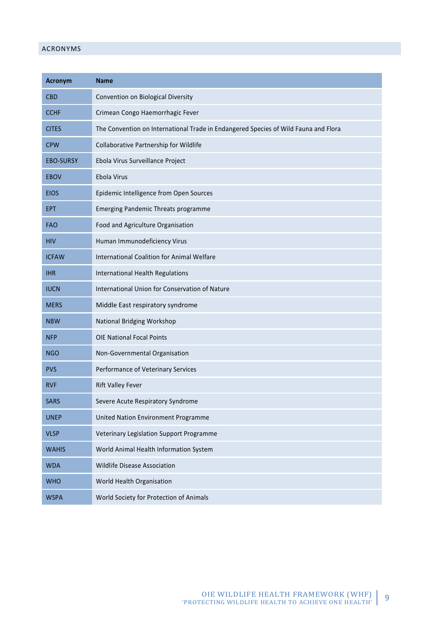#### ACRONYMS

| <b>Acronym</b>   | <b>Name</b>                                                                         |  |  |
|------------------|-------------------------------------------------------------------------------------|--|--|
| <b>CBD</b>       | Convention on Biological Diversity                                                  |  |  |
| <b>CCHF</b>      | Crimean Congo Haemorrhagic Fever                                                    |  |  |
| <b>CITES</b>     | The Convention on International Trade in Endangered Species of Wild Fauna and Flora |  |  |
| <b>CPW</b>       | Collaborative Partnership for Wildlife                                              |  |  |
| <b>EBO-SURSY</b> | Ebola Virus Surveillance Project                                                    |  |  |
| <b>EBOV</b>      | Ebola Virus                                                                         |  |  |
| <b>EIOS</b>      | Epidemic Intelligence from Open Sources                                             |  |  |
| <b>EPT</b>       | Emerging Pandemic Threats programme                                                 |  |  |
| <b>FAO</b>       | Food and Agriculture Organisation                                                   |  |  |
| <b>HIV</b>       | Human Immunodeficiency Virus                                                        |  |  |
| <b>ICFAW</b>     | International Coalition for Animal Welfare                                          |  |  |
| <b>IHR</b>       | International Health Regulations                                                    |  |  |
| <b>IUCN</b>      | International Union for Conservation of Nature                                      |  |  |
| <b>MERS</b>      | Middle East respiratory syndrome                                                    |  |  |
| <b>NBW</b>       | National Bridging Workshop                                                          |  |  |
| <b>NFP</b>       | <b>OIE National Focal Points</b>                                                    |  |  |
| <b>NGO</b>       | Non-Governmental Organisation                                                       |  |  |
| <b>PVS</b>       | Performance of Veterinary Services                                                  |  |  |
| <b>RVF</b>       | <b>Rift Valley Fever</b>                                                            |  |  |
| <b>SARS</b>      | Severe Acute Respiratory Syndrome                                                   |  |  |
| <b>UNEP</b>      | United Nation Environment Programme                                                 |  |  |
| <b>VLSP</b>      | Veterinary Legislation Support Programme                                            |  |  |
| <b>WAHIS</b>     | World Animal Health Information System                                              |  |  |
| <b>WDA</b>       | Wildlife Disease Association                                                        |  |  |
| <b>WHO</b>       | World Health Organisation                                                           |  |  |
| <b>WSPA</b>      | World Society for Protection of Animals                                             |  |  |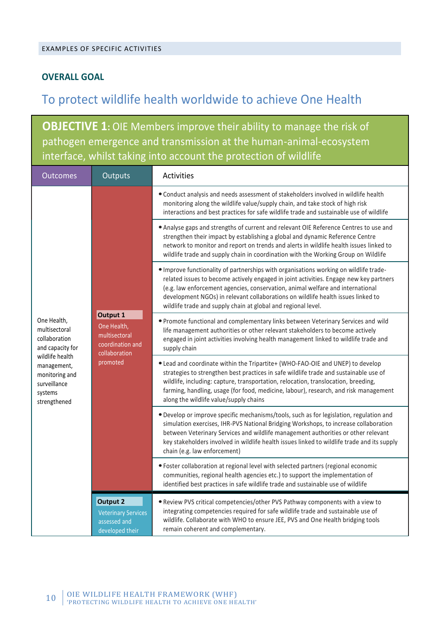## **OVERALL GOAL**

# To protect wildlife health worldwide to achieve One Health

**OBJECTIVE 1:** OIE Members improve their ability to manage the risk of pathogen emergence and transmission at the human-animal-ecosystem interface, whilst taking into account the protection of wildlife

| <b>Outcomes</b>                                                                             | Outputs                                                                                   | Activities                                                                                                                                                                                                                                                                                                                                                                                                             |
|---------------------------------------------------------------------------------------------|-------------------------------------------------------------------------------------------|------------------------------------------------------------------------------------------------------------------------------------------------------------------------------------------------------------------------------------------------------------------------------------------------------------------------------------------------------------------------------------------------------------------------|
|                                                                                             | Output 1<br>One Health,<br>multisectoral<br>coordination and<br>collaboration<br>promoted | • Conduct analysis and needs assessment of stakeholders involved in wildlife health<br>monitoring along the wildlife value/supply chain, and take stock of high risk<br>interactions and best practices for safe wildlife trade and sustainable use of wildlife                                                                                                                                                        |
|                                                                                             |                                                                                           | • Analyse gaps and strengths of current and relevant OIE Reference Centres to use and<br>strengthen their impact by establishing a global and dynamic Reference Centre<br>network to monitor and report on trends and alerts in wildlife health issues linked to<br>wildlife trade and supply chain in coordination with the Working Group on Wildlife                                                                 |
|                                                                                             |                                                                                           | . Improve functionality of partnerships with organisations working on wildlife trade-<br>related issues to become actively engaged in joint activities. Engage new key partners<br>(e.g. law enforcement agencies, conservation, animal welfare and international<br>development NGOs) in relevant collaborations on wildlife health issues linked to<br>wildlife trade and supply chain at global and regional level. |
| One Health,<br>multisectoral<br>collaboration<br>and capacity for                           |                                                                                           | . Promote functional and complementary links between Veterinary Services and wild<br>life management authorities or other relevant stakeholders to become actively<br>engaged in joint activities involving health management linked to wildlife trade and<br>supply chain                                                                                                                                             |
| wildlife health<br>management,<br>monitoring and<br>surveillance<br>systems<br>strengthened |                                                                                           | . Lead and coordinate within the Tripartite+ (WHO-FAO-OIE and UNEP) to develop<br>strategies to strengthen best practices in safe wildlife trade and sustainable use of<br>wildlife, including: capture, transportation, relocation, translocation, breeding,<br>farming, handling, usage (for food, medicine, labour), research, and risk management<br>along the wildlife value/supply chains                        |
|                                                                                             |                                                                                           | • Develop or improve specific mechanisms/tools, such as for legislation, regulation and<br>simulation exercises, IHR-PVS National Bridging Workshops, to increase collaboration<br>between Veterinary Services and wildlife management authorities or other relevant<br>key stakeholders involved in wildlife health issues linked to wildlife trade and its supply<br>chain (e.g. law enforcement)                    |
|                                                                                             |                                                                                           | • Foster collaboration at regional level with selected partners (regional economic<br>communities, regional health agencies etc.) to support the implementation of<br>identified best practices in safe wildlife trade and sustainable use of wildlife                                                                                                                                                                 |
|                                                                                             | <b>Output 2</b><br><b>Veterinary Services</b><br>assessed and<br>developed their          | . Review PVS critical competencies/other PVS Pathway components with a view to<br>integrating competencies required for safe wildlife trade and sustainable use of<br>wildlife. Collaborate with WHO to ensure JEE, PVS and One Health bridging tools<br>remain coherent and complementary.                                                                                                                            |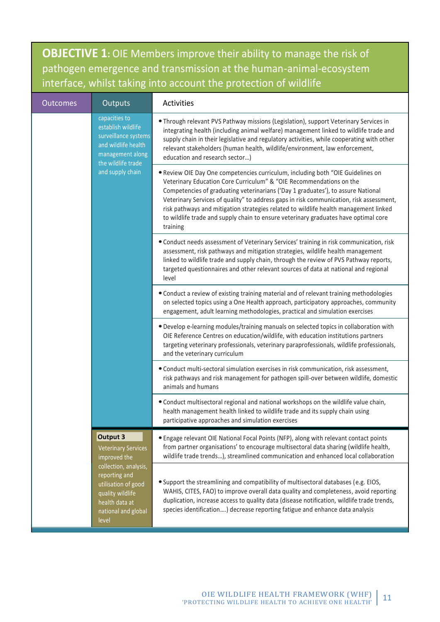**OBJECTIVE 1:** OIE Members improve their ability to manage the risk of pathogen emergence and transmission at the human-animal-ecosystem interface, whilst taking into account the protection of wildlife

| <b>Outcomes</b> | Outputs                                                                                                                                                                                       | Activities                                                                                                                                                                                                                                                                                                                                                                                                                                                                                                                       |
|-----------------|-----------------------------------------------------------------------------------------------------------------------------------------------------------------------------------------------|----------------------------------------------------------------------------------------------------------------------------------------------------------------------------------------------------------------------------------------------------------------------------------------------------------------------------------------------------------------------------------------------------------------------------------------------------------------------------------------------------------------------------------|
|                 | capacities to<br>establish wildlife<br>surveillance systems<br>and wildlife health<br>management along<br>the wildlife trade                                                                  | • Through relevant PVS Pathway missions (Legislation), support Veterinary Services in<br>integrating health (including animal welfare) management linked to wildlife trade and<br>supply chain in their legislative and regulatory activities, while cooperating with other<br>relevant stakeholders (human health, wildlife/environment, law enforcement,<br>education and research sector)                                                                                                                                     |
|                 | and supply chain                                                                                                                                                                              | . Review OIE Day One competencies curriculum, including both "OIE Guidelines on<br>Veterinary Education Core Curriculum" & "OIE Recommendations on the<br>Competencies of graduating veterinarians ('Day 1 graduates'), to assure National<br>Veterinary Services of quality" to address gaps in risk communication, risk assessment,<br>risk pathways and mitigation strategies related to wildlife health management linked<br>to wildlife trade and supply chain to ensure veterinary graduates have optimal core<br>training |
|                 |                                                                                                                                                                                               | • Conduct needs assessment of Veterinary Services' training in risk communication, risk<br>assessment, risk pathways and mitigation strategies, wildlife health management<br>linked to wildlife trade and supply chain, through the review of PVS Pathway reports,<br>targeted questionnaires and other relevant sources of data at national and regional<br>level                                                                                                                                                              |
|                 |                                                                                                                                                                                               | • Conduct a review of existing training material and of relevant training methodologies<br>on selected topics using a One Health approach, participatory approaches, community<br>engagement, adult learning methodologies, practical and simulation exercises                                                                                                                                                                                                                                                                   |
|                 |                                                                                                                                                                                               | . Develop e-learning modules/training manuals on selected topics in collaboration with<br>OIE Reference Centres on education/wildlife, with education institutions partners<br>targeting veterinary professionals, veterinary paraprofessionals, wildlife professionals,<br>and the veterinary curriculum                                                                                                                                                                                                                        |
|                 |                                                                                                                                                                                               | • Conduct multi-sectoral simulation exercises in risk communication, risk assessment,<br>risk pathways and risk management for pathogen spill-over between wildlife, domestic<br>animals and humans                                                                                                                                                                                                                                                                                                                              |
|                 |                                                                                                                                                                                               | . Conduct multisectoral regional and national workshops on the wildlife value chain,<br>health management health linked to wildlife trade and its supply chain using<br>participative approaches and simulation exercises                                                                                                                                                                                                                                                                                                        |
|                 | Output 3<br><b>Veterinary Services</b><br>improved the<br>collection, analysis,<br>reporting and<br>utilisation of good<br>quality wildlife<br>health data at<br>national and global<br>level | • Engage relevant OIE National Focal Points (NFP), along with relevant contact points<br>from partner organisations' to encourage multisectoral data sharing (wildlife health,<br>wildlife trade trends), streamlined communication and enhanced local collaboration                                                                                                                                                                                                                                                             |
|                 |                                                                                                                                                                                               | . Support the streamlining and compatibility of multisectoral databases (e.g. EIOS,<br>WAHIS, CITES, FAO) to improve overall data quality and completeness, avoid reporting<br>duplication, increase access to quality data (disease notification, wildlife trade trends,<br>species identification) decrease reporting fatigue and enhance data analysis                                                                                                                                                                        |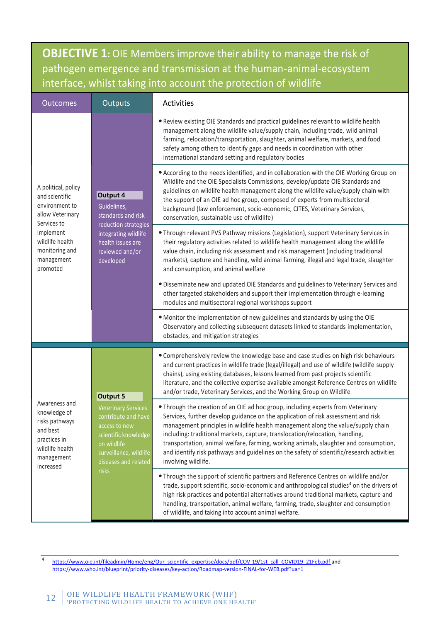**OBJECTIVE 1:** OIE Members improve their ability to manage the risk of pathogen emergence and transmission at the human-animal-ecosystem interface, whilst taking into account the protection of wildlife

| <b>Outcomes</b>                                                                                                           | Outputs                                                                                                                                                                                 | Activities                                                                                                                                                                                                                                                                                                                                                                                                                                                                                                                                            |
|---------------------------------------------------------------------------------------------------------------------------|-----------------------------------------------------------------------------------------------------------------------------------------------------------------------------------------|-------------------------------------------------------------------------------------------------------------------------------------------------------------------------------------------------------------------------------------------------------------------------------------------------------------------------------------------------------------------------------------------------------------------------------------------------------------------------------------------------------------------------------------------------------|
|                                                                                                                           | Output 4<br>Guidelines,<br>standards and risk<br>reduction strategies<br>integrating wildlife<br>health issues are<br>reviewed and/or<br>developed                                      | . Review existing OIE Standards and practical guidelines relevant to wildlife health<br>management along the wildlife value/supply chain, including trade, wild animal<br>farming, relocation/transportation, slaughter, animal welfare, markets, and food<br>safety among others to identify gaps and needs in coordination with other<br>international standard setting and regulatory bodies                                                                                                                                                       |
| A political, policy<br>and scientific<br>environment to<br>allow Veterinary<br>Services to                                |                                                                                                                                                                                         | • According to the needs identified, and in collaboration with the OIE Working Group on<br>Wildlife and the OIE Specialists Commissions, develop/update OIE Standards and<br>guidelines on wildlife health management along the wildlife value/supply chain with<br>the support of an OIE ad hoc group, composed of experts from multisectoral<br>background (law enforcement, socio-economic, CITES, Veterinary Services,<br>conservation, sustainable use of wildlife)                                                                              |
| implement<br>wildlife health<br>monitoring and<br>management<br>promoted                                                  |                                                                                                                                                                                         | . Through relevant PVS Pathway missions (Legislation), support Veterinary Services in<br>their regulatory activities related to wildlife health management along the wildlife<br>value chain, including risk assessment and risk management (including traditional<br>markets), capture and handling, wild animal farming, illegal and legal trade, slaughter<br>and consumption, and animal welfare                                                                                                                                                  |
|                                                                                                                           |                                                                                                                                                                                         | · Disseminate new and updated OIE Standards and guidelines to Veterinary Services and<br>other targeted stakeholders and support their implementation through e-learning<br>modules and multisectoral regional workshops support                                                                                                                                                                                                                                                                                                                      |
|                                                                                                                           |                                                                                                                                                                                         | . Monitor the implementation of new guidelines and standards by using the OIE<br>Observatory and collecting subsequent datasets linked to standards implementation,<br>obstacles, and mitigation strategies                                                                                                                                                                                                                                                                                                                                           |
|                                                                                                                           | <b>Output 5</b><br><b>Veterinary Services</b><br>contribute and have<br>access to new<br>scientific knowledge<br>on wildlife<br>surveillance, wildlife<br>diseases and related<br>risks | • Comprehensively review the knowledge base and case studies on high risk behaviours<br>and current practices in wildlife trade (legal/illegal) and use of wildlife (wildlife supply<br>chains), using existing databases, lessons learned from past projects scientific<br>literature, and the collective expertise available amongst Reference Centres on wildlife<br>and/or trade, Veterinary Services, and the Working Group on Wildlife                                                                                                          |
| Awareness and<br>knowledge of<br>risks pathways<br>and best<br>practices in<br>wildlife health<br>management<br>increased |                                                                                                                                                                                         | . Through the creation of an OIE ad hoc group, including experts from Veterinary<br>Services, further develop guidance on the application of risk assessment and risk<br>management principles in wildlife health management along the value/supply chain<br>including: traditional markets, capture, translocation/relocation, handling,<br>transportation, animal welfare, farming, working animals, slaughter and consumption,<br>and identify risk pathways and guidelines on the safety of scientific/research activities<br>involving wildlife. |
|                                                                                                                           |                                                                                                                                                                                         | . Through the support of scientific partners and Reference Centres on wildlife and/or<br>trade, support scientific, socio-economic and anthropological studies <sup>4</sup> on the drivers of<br>high risk practices and potential alternatives around traditional markets, capture and<br>handling, transportation, animal welfare, farming, trade, slaughter and consumption<br>of wildlife, and taking into account animal welfare.                                                                                                                |

4 [https://www.oie.int/fileadmin/Home/eng/Our\\_scientific\\_expertise/docs/pdf/COV-19/1st\\_call\\_COVID19\\_21Feb.pdf](https://www.oie.int/fileadmin/Home/eng/Our_scientific_expertise/docs/pdf/COV-19/1st_call_COVID19_21Feb.pdf) and <https://www.who.int/blueprint/priority-diseases/key-action/Roadmap-version-FINAL-for-WEB.pdf?ua=1>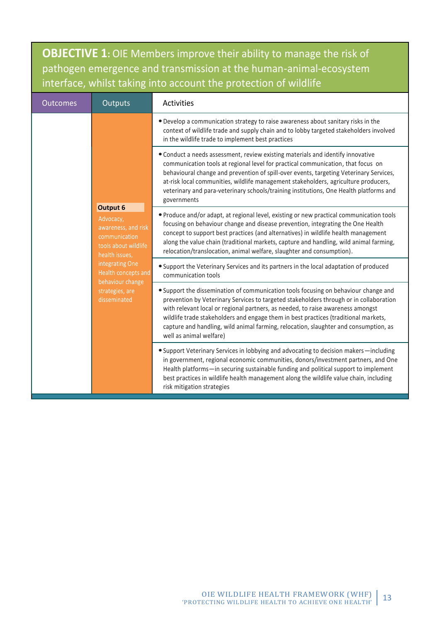**OBJECTIVE 1:** OIE Members improve their ability to manage the risk of pathogen emergence and transmission at the human-animal-ecosystem interface, whilst taking into account the protection of wildlife

| <b>Outcomes</b> | Outputs                                                                                                                                                                                                         | Activities                                                                                                                                                                                                                                                                                                                                                                                                                                                                 |
|-----------------|-----------------------------------------------------------------------------------------------------------------------------------------------------------------------------------------------------------------|----------------------------------------------------------------------------------------------------------------------------------------------------------------------------------------------------------------------------------------------------------------------------------------------------------------------------------------------------------------------------------------------------------------------------------------------------------------------------|
|                 |                                                                                                                                                                                                                 | . Develop a communication strategy to raise awareness about sanitary risks in the<br>context of wildlife trade and supply chain and to lobby targeted stakeholders involved<br>in the wildlife trade to implement best practices                                                                                                                                                                                                                                           |
|                 |                                                                                                                                                                                                                 | • Conduct a needs assessment, review existing materials and identify innovative<br>communication tools at regional level for practical communication, that focus on<br>behavioural change and prevention of spill-over events, targeting Veterinary Services,<br>at-risk local communities, wildlife management stakeholders, agriculture producers,<br>veterinary and para-veterinary schools/training institutions, One Health platforms and<br>governments              |
|                 | <b>Output 6</b><br>Advocacy,<br>awareness, and risk<br>communication<br>tools about wildlife<br>health issues,<br>integrating One<br>Health concepts and<br>behaviour change<br>strategies, are<br>disseminated | . Produce and/or adapt, at regional level, existing or new practical communication tools<br>focusing on behaviour change and disease prevention, integrating the One Health<br>concept to support best practices (and alternatives) in wildlife health management<br>along the value chain (traditional markets, capture and handling, wild animal farming,<br>relocation/translocation, animal welfare, slaughter and consumption).                                       |
|                 |                                                                                                                                                                                                                 | • Support the Veterinary Services and its partners in the local adaptation of produced<br>communication tools                                                                                                                                                                                                                                                                                                                                                              |
|                 |                                                                                                                                                                                                                 | • Support the dissemination of communication tools focusing on behaviour change and<br>prevention by Veterinary Services to targeted stakeholders through or in collaboration<br>with relevant local or regional partners, as needed, to raise awareness amongst<br>wildlife trade stakeholders and engage them in best practices (traditional markets,<br>capture and handling, wild animal farming, relocation, slaughter and consumption, as<br>well as animal welfare) |
|                 |                                                                                                                                                                                                                 | • Support Veterinary Services in lobbying and advocating to decision makers-including<br>in government, regional economic communities, donors/investment partners, and One<br>Health platforms-in securing sustainable funding and political support to implement<br>best practices in wildlife health management along the wildlife value chain, including<br>risk mitigation strategies                                                                                  |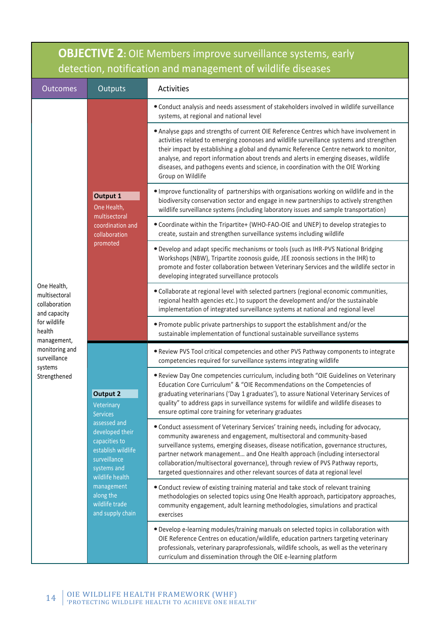| <b>OBJECTIVE 2:</b> OIE Members improve surveillance systems, early<br>detection, notification and management of wildlife diseases |                                                                                                                          |                                                                                                                                                                                                                                                                                                                                                                                                                                                                                                          |  |  |
|------------------------------------------------------------------------------------------------------------------------------------|--------------------------------------------------------------------------------------------------------------------------|----------------------------------------------------------------------------------------------------------------------------------------------------------------------------------------------------------------------------------------------------------------------------------------------------------------------------------------------------------------------------------------------------------------------------------------------------------------------------------------------------------|--|--|
| <b>Outcomes</b>                                                                                                                    | Outputs<br>Activities                                                                                                    |                                                                                                                                                                                                                                                                                                                                                                                                                                                                                                          |  |  |
|                                                                                                                                    |                                                                                                                          | • Conduct analysis and needs assessment of stakeholders involved in wildlife surveillance<br>systems, at regional and national level                                                                                                                                                                                                                                                                                                                                                                     |  |  |
|                                                                                                                                    | Output 1<br>One Health,<br>multisectoral<br>coordination and<br>collaboration<br>promoted                                | • Analyse gaps and strengths of current OIE Reference Centres which have involvement in<br>activities related to emerging zoonoses and wildlife surveillance systems and strengthen<br>their impact by establishing a global and dynamic Reference Centre network to monitor,<br>analyse, and report information about trends and alerts in emerging diseases, wildlife<br>diseases, and pathogens events and science, in coordination with the OIE Working<br>Group on Wildlife                         |  |  |
|                                                                                                                                    |                                                                                                                          | . Improve functionality of partnerships with organisations working on wildlife and in the<br>biodiversity conservation sector and engage in new partnerships to actively strengthen<br>wildlife surveillance systems (including laboratory issues and sample transportation)                                                                                                                                                                                                                             |  |  |
|                                                                                                                                    |                                                                                                                          | . Coordinate within the Tripartite+ (WHO-FAO-OIE and UNEP) to develop strategies to<br>create, sustain and strengthen surveillance systems including wildlife                                                                                                                                                                                                                                                                                                                                            |  |  |
|                                                                                                                                    |                                                                                                                          | . Develop and adapt specific mechanisms or tools (such as IHR-PVS National Bridging<br>Workshops (NBW), Tripartite zoonosis guide, JEE zoonosis sections in the IHR) to<br>promote and foster collaboration between Veterinary Services and the wildlife sector in<br>developing integrated surveillance protocols                                                                                                                                                                                       |  |  |
| One Health,<br>multisectoral<br>collaboration<br>and capacity                                                                      |                                                                                                                          | • Collaborate at regional level with selected partners (regional economic communities,<br>regional health agencies etc.) to support the development and/or the sustainable<br>implementation of integrated surveillance systems at national and regional level                                                                                                                                                                                                                                           |  |  |
| for wildlife<br>health<br>management,                                                                                              |                                                                                                                          | . Promote public private partnerships to support the establishment and/or the<br>sustainable implementation of functional sustainable surveillance systems                                                                                                                                                                                                                                                                                                                                               |  |  |
| monitoring and<br>surveillance                                                                                                     |                                                                                                                          | . Review PVS Tool critical competencies and other PVS Pathway components to integrate<br>competencies required for surveillance systems integrating wildlife                                                                                                                                                                                                                                                                                                                                             |  |  |
| systems<br>Strengthened                                                                                                            | <b>Output 2</b><br>Veterinary<br><b>Services</b>                                                                         | . Review Day One competencies curriculum, including both "OIE Guidelines on Veterinary<br>Education Core Curriculum" & "OIE Recommendations on the Competencies of<br>graduating veterinarians ('Day 1 graduates'), to assure National Veterinary Services of<br>quality" to address gaps in surveillance systems for wildlife and wildlife diseases to<br>ensure optimal core training for veterinary graduates                                                                                         |  |  |
|                                                                                                                                    | assessed and<br>developed their<br>capacities to<br>establish wildlife<br>surveillance<br>systems and<br>wildlife health | • Conduct assessment of Veterinary Services' training needs, including for advocacy,<br>community awareness and engagement, multisectoral and community-based<br>surveillance systems, emerging diseases, disease notification, governance structures,<br>partner network management and One Health approach (including intersectoral<br>collaboration/multisectoral governance), through review of PVS Pathway reports,<br>targeted questionnaires and other relevant sources of data at regional level |  |  |
|                                                                                                                                    | management<br>along the<br>wildlife trade<br>and supply chain                                                            | • Conduct review of existing training material and take stock of relevant training<br>methodologies on selected topics using One Health approach, participatory approaches,<br>community engagement, adult learning methodologies, simulations and practical<br>exercises                                                                                                                                                                                                                                |  |  |
|                                                                                                                                    |                                                                                                                          | . Develop e-learning modules/training manuals on selected topics in collaboration with<br>OIE Reference Centres on education/wildlife, education partners targeting veterinary<br>professionals, veterinary paraprofessionals, wildlife schools, as well as the veterinary<br>curriculum and dissemination through the OIE e-learning platform                                                                                                                                                           |  |  |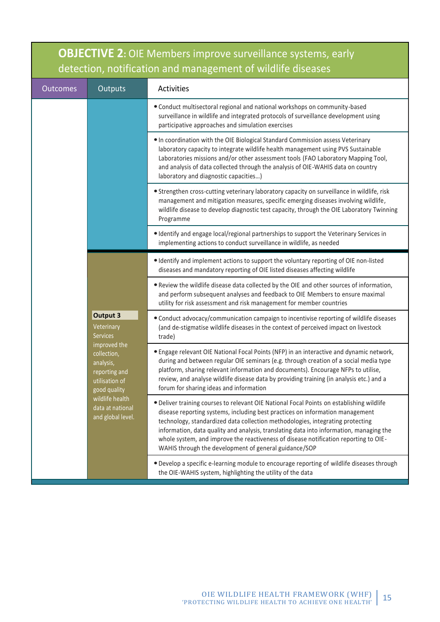| <b>OBJECTIVE 2: OIE Members improve surveillance systems, early</b><br>detection, notification and management of wildlife diseases |                                                                                                                                                         |                                                                                                                                                                                                                                                                                                                                                                                                                                                                                                          |  |  |
|------------------------------------------------------------------------------------------------------------------------------------|---------------------------------------------------------------------------------------------------------------------------------------------------------|----------------------------------------------------------------------------------------------------------------------------------------------------------------------------------------------------------------------------------------------------------------------------------------------------------------------------------------------------------------------------------------------------------------------------------------------------------------------------------------------------------|--|--|
| <b>Outcomes</b>                                                                                                                    | Outputs                                                                                                                                                 | Activities                                                                                                                                                                                                                                                                                                                                                                                                                                                                                               |  |  |
|                                                                                                                                    |                                                                                                                                                         | • Conduct multisectoral regional and national workshops on community-based<br>surveillance in wildlife and integrated protocols of surveillance development using<br>participative approaches and simulation exercises                                                                                                                                                                                                                                                                                   |  |  |
|                                                                                                                                    |                                                                                                                                                         | . In coordination with the OIE Biological Standard Commission assess Veterinary<br>laboratory capacity to integrate wildlife health management using PVS Sustainable<br>Laboratories missions and/or other assessment tools (FAO Laboratory Mapping Tool,<br>and analysis of data collected through the analysis of OIE-WAHIS data on country<br>laboratory and diagnostic capacities)                                                                                                                   |  |  |
|                                                                                                                                    |                                                                                                                                                         | • Strengthen cross-cutting veterinary laboratory capacity on surveillance in wildlife, risk<br>management and mitigation measures, specific emerging diseases involving wildlife,<br>wildlife disease to develop diagnostic test capacity, through the OIE Laboratory Twinning<br>Programme                                                                                                                                                                                                              |  |  |
|                                                                                                                                    |                                                                                                                                                         | • Identify and engage local/regional partnerships to support the Veterinary Services in<br>implementing actions to conduct surveillance in wildlife, as needed                                                                                                                                                                                                                                                                                                                                           |  |  |
|                                                                                                                                    |                                                                                                                                                         | • Identify and implement actions to support the voluntary reporting of OIE non-listed<br>diseases and mandatory reporting of OIE listed diseases affecting wildlife                                                                                                                                                                                                                                                                                                                                      |  |  |
|                                                                                                                                    |                                                                                                                                                         | . Review the wildlife disease data collected by the OIE and other sources of information,<br>and perform subsequent analyses and feedback to OIE Members to ensure maximal<br>utility for risk assessment and risk management for member countries                                                                                                                                                                                                                                                       |  |  |
|                                                                                                                                    | <b>Output 3</b><br>Veterinary<br><b>Services</b>                                                                                                        | • Conduct advocacy/communication campaign to incentivise reporting of wildlife diseases<br>(and de-stigmatise wildlife diseases in the context of perceived impact on livestock<br>trade)                                                                                                                                                                                                                                                                                                                |  |  |
|                                                                                                                                    | improved the<br>collection,<br>analysis,<br>reporting and<br>utilisation of<br>good quality<br>wildlife health<br>data at national<br>and global level. | • Engage relevant OIE National Focal Points (NFP) in an interactive and dynamic network,<br>during and between regular OIE seminars (e.g. through creation of a social media type<br>platform, sharing relevant information and documents). Encourage NFPs to utilise,<br>review, and analyse wildlife disease data by providing training (in analysis etc.) and a<br>forum for sharing ideas and information                                                                                            |  |  |
|                                                                                                                                    |                                                                                                                                                         | . Deliver training courses to relevant OIE National Focal Points on establishing wildlife<br>disease reporting systems, including best practices on information management<br>technology, standardized data collection methodologies, integrating protecting<br>information, data quality and analysis, translating data into information, managing the<br>whole system, and improve the reactiveness of disease notification reporting to OIE-<br>WAHIS through the development of general guidance/SOP |  |  |
|                                                                                                                                    |                                                                                                                                                         | . Develop a specific e-learning module to encourage reporting of wildlife diseases through<br>the OIE-WAHIS system, highlighting the utility of the data                                                                                                                                                                                                                                                                                                                                                 |  |  |

Г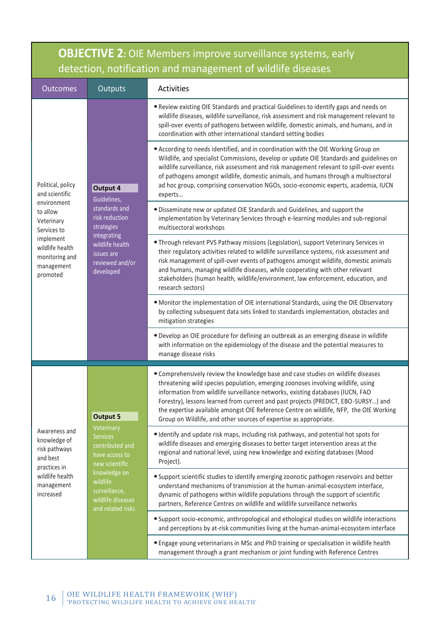| <b>OBJECTIVE 2:</b> OIE Members improve surveillance systems, early<br>detection, notification and management of wildlife diseases |                                                                                                                                                                             |                                                                                                                                                                                                                                                                                                                                                                                                                                                                                                              |  |  |
|------------------------------------------------------------------------------------------------------------------------------------|-----------------------------------------------------------------------------------------------------------------------------------------------------------------------------|--------------------------------------------------------------------------------------------------------------------------------------------------------------------------------------------------------------------------------------------------------------------------------------------------------------------------------------------------------------------------------------------------------------------------------------------------------------------------------------------------------------|--|--|
| <b>Outcomes</b>                                                                                                                    | <b>Outputs</b>                                                                                                                                                              | Activities                                                                                                                                                                                                                                                                                                                                                                                                                                                                                                   |  |  |
|                                                                                                                                    | Output 4<br>Guidelines,<br>standards and<br>risk reduction<br>strategies<br>integrating<br>wildlife health<br>issues are<br>reviewed and/or<br>developed                    | . Review existing OIE Standards and practical Guidelines to identify gaps and needs on<br>wildlife diseases, wildlife surveillance, risk assessment and risk management relevant to<br>spill-over events of pathogens between wildlife, domestic animals, and humans, and in<br>coordination with other international standard setting bodies                                                                                                                                                                |  |  |
| Political, policy<br>and scientific                                                                                                |                                                                                                                                                                             | • According to needs identified, and in coordination with the OIE Working Group on<br>Wildlife, and specialist Commissions, develop or update OIE Standards and guidelines on<br>wildlife surveillance, risk assessment and risk management relevant to spill-over events<br>of pathogens amongst wildlife, domestic animals, and humans through a multisectoral<br>ad hoc group, comprising conservation NGOs, socio-economic experts, academia, IUCN<br>experts                                            |  |  |
| environment<br>to allow<br>Veterinary<br>Services to                                                                               |                                                                                                                                                                             | · Disseminate new or updated OIE Standards and Guidelines, and support the<br>implementation by Veterinary Services through e-learning modules and sub-regional<br>multisectoral workshops                                                                                                                                                                                                                                                                                                                   |  |  |
| implement<br>wildlife health<br>monitoring and<br>management<br>promoted                                                           |                                                                                                                                                                             | . Through relevant PVS Pathway missions (Legislation), support Veterinary Services in<br>their regulatory activities related to wildlife surveillance systems, risk assessment and<br>risk management of spill-over events of pathogens amongst wildlife, domestic animals<br>and humans, managing wildlife diseases, while cooperating with other relevant<br>stakeholders (human health, wildlife/environment, law enforcement, education, and<br>research sectors)                                        |  |  |
|                                                                                                                                    |                                                                                                                                                                             | . Monitor the implementation of OIE international Standards, using the OIE Observatory<br>by collecting subsequent data sets linked to standards implementation, obstacles and<br>mitigation strategies                                                                                                                                                                                                                                                                                                      |  |  |
|                                                                                                                                    |                                                                                                                                                                             | . Develop an OIE procedure for defining an outbreak as an emerging disease in wildlife<br>with information on the epidemiology of the disease and the potential measures to<br>manage disease risks                                                                                                                                                                                                                                                                                                          |  |  |
|                                                                                                                                    | <b>Output 5</b>                                                                                                                                                             | • Comprehensively review the knowledge base and case studies on wildlife diseases<br>threatening wild species population, emerging zoonoses involving wildlife, using<br>information from wildlife surveillance networks, existing databases (IUCN, FAO<br>Forestry), lessons learned from current and past projects (PREDICT, EBO-SURSY) and<br>the expertise available amongst OIE Reference Centre on wildlife, NFP, the OIE Working<br>Group on Wildlife, and other sources of expertise as appropriate. |  |  |
| Awareness and<br>knowledge of<br>risk pathways<br>and best<br>practices in                                                         | Veterinary<br><b>Services</b><br>contributed and<br>have access to<br>new scientific<br>knowledge on<br>wildlife<br>surveillance,<br>wildlife diseases<br>and related risks | · Identify and update risk maps, including risk pathways, and potential hot spots for<br>wildlife diseases and emerging diseases to better target intervention areas at the<br>regional and national level, using new knowledge and existing databases (Mood<br>Project).                                                                                                                                                                                                                                    |  |  |
| wildlife health<br>management<br>increased                                                                                         |                                                                                                                                                                             | • Support scientific studies to identify emerging zoonotic pathogen reservoirs and better<br>understand mechanisms of transmission at the human-animal-ecosystem interface,<br>dynamic of pathogens within wildlife populations through the support of scientific<br>partners, Reference Centres on wildlife and wildlife surveillance networks                                                                                                                                                              |  |  |
|                                                                                                                                    |                                                                                                                                                                             | • Support socio-economic, anthropological and ethological studies on wildlife interactions<br>and perceptions by at-risk communities living at the human-animal-ecosystem interface                                                                                                                                                                                                                                                                                                                          |  |  |
|                                                                                                                                    |                                                                                                                                                                             | • Engage young veterinarians in MSc and PhD training or specialisation in wildlife health<br>management through a grant mechanism or joint funding with Reference Centres                                                                                                                                                                                                                                                                                                                                    |  |  |